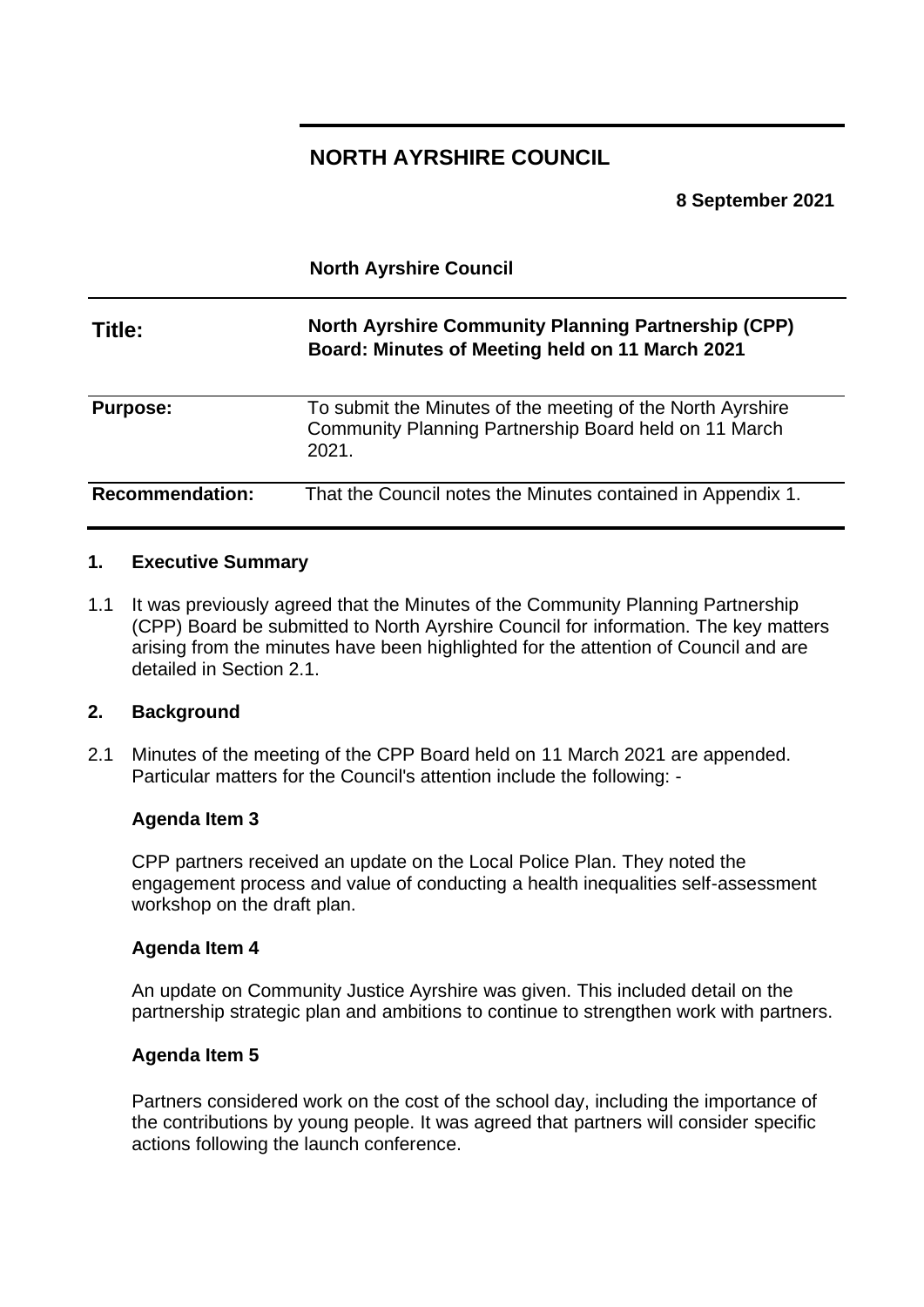# **NORTH AYRSHIRE COUNCIL**

**8 September 2021**

**North Ayrshire Council**

# **Title: North Ayrshire Community Planning Partnership (CPP) Board: Minutes of Meeting held on 11 March 2021**

**Purpose:** To submit the Minutes of the meeting of the North Ayrshire Community Planning Partnership Board held on 11 March 2021.

**Recommendation:** That the Council notes the Minutes contained in Appendix 1.

### **1. Executive Summary**

1.1 It was previously agreed that the Minutes of the Community Planning Partnership (CPP) Board be submitted to North Ayrshire Council for information. The key matters arising from the minutes have been highlighted for the attention of Council and are detailed in Section 2.1.

### **2. Background**

2.1 Minutes of the meeting of the CPP Board held on 11 March 2021 are appended. Particular matters for the Council's attention include the following: -

### **Agenda Item 3**

CPP partners received an update on the Local Police Plan. They noted the engagement process and value of conducting a health inequalities self-assessment workshop on the draft plan.

#### **Agenda Item 4**

An update on Community Justice Ayrshire was given. This included detail on the partnership strategic plan and ambitions to continue to strengthen work with partners.

### **Agenda Item 5**

Partners considered work on the cost of the school day, including the importance of the contributions by young people. It was agreed that partners will consider specific actions following the launch conference.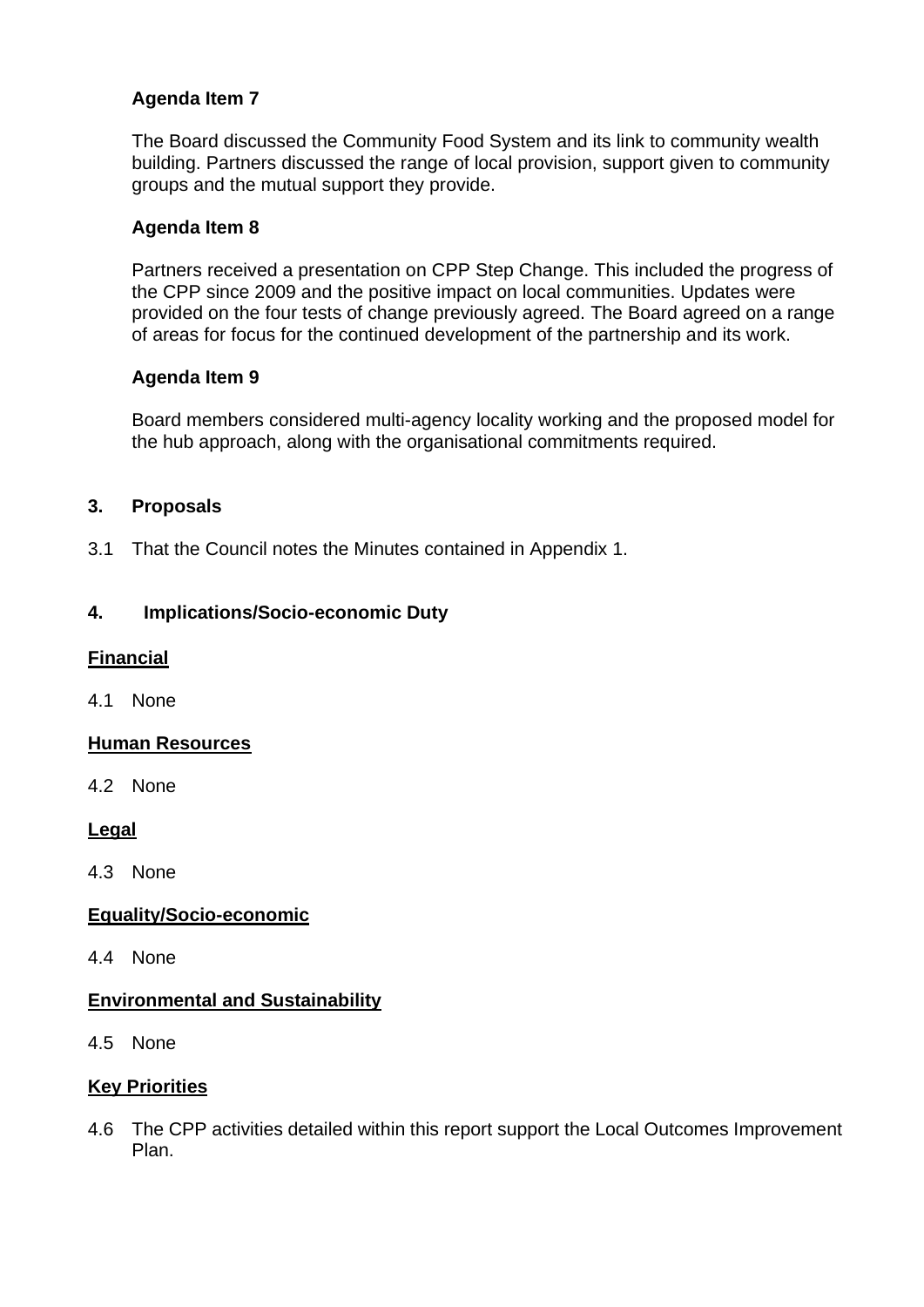## **Agenda Item 7**

The Board discussed the Community Food System and its link to community wealth building. Partners discussed the range of local provision, support given to community groups and the mutual support they provide.

### **Agenda Item 8**

Partners received a presentation on CPP Step Change. This included the progress of the CPP since 2009 and the positive impact on local communities. Updates were provided on the four tests of change previously agreed. The Board agreed on a range of areas for focus for the continued development of the partnership and its work.

### **Agenda Item 9**

Board members considered multi-agency locality working and the proposed model for the hub approach, along with the organisational commitments required.

### **3. Proposals**

3.1 That the Council notes the Minutes contained in Appendix 1.

### **4. Implications/Socio-economic Duty**

### **Financial**

4.1 None

### **Human Resources**

4.2 None

### **Legal**

4.3 None

### **Equality/Socio-economic**

4.4 None

### **Environmental and Sustainability**

4.5 None

### **Key Priorities**

4.6 The CPP activities detailed within this report support the Local Outcomes Improvement Plan.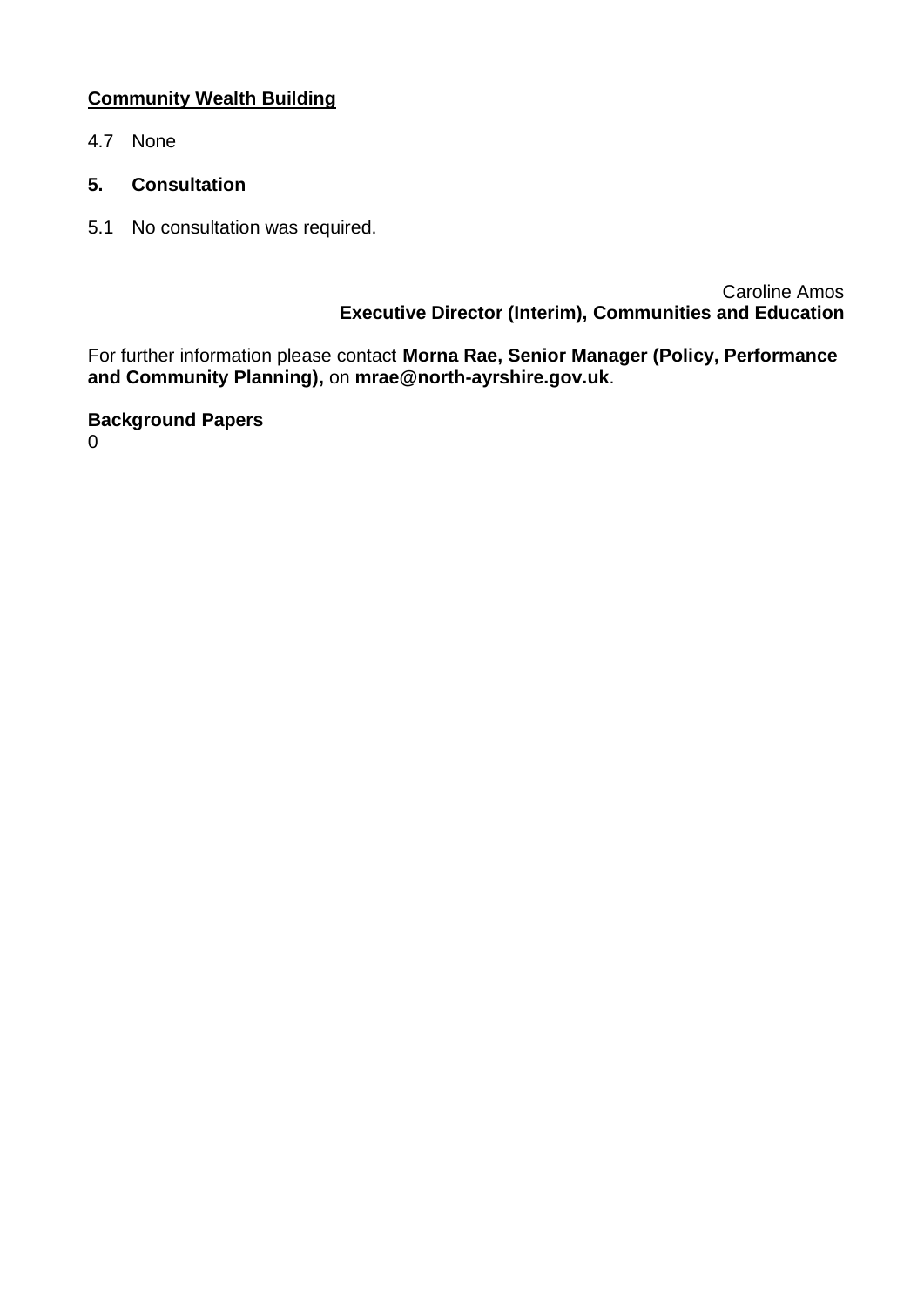## **Community Wealth Building**

- 4.7 None
- **5. Consultation**
- 5.1 No consultation was required.

Caroline Amos **Executive Director (Interim), Communities and Education**

For further information please contact **Morna Rae, Senior Manager (Policy, Performance and Community Planning),** on **mrae@north-ayrshire.gov.uk**.

**Background Papers**

 $\Omega$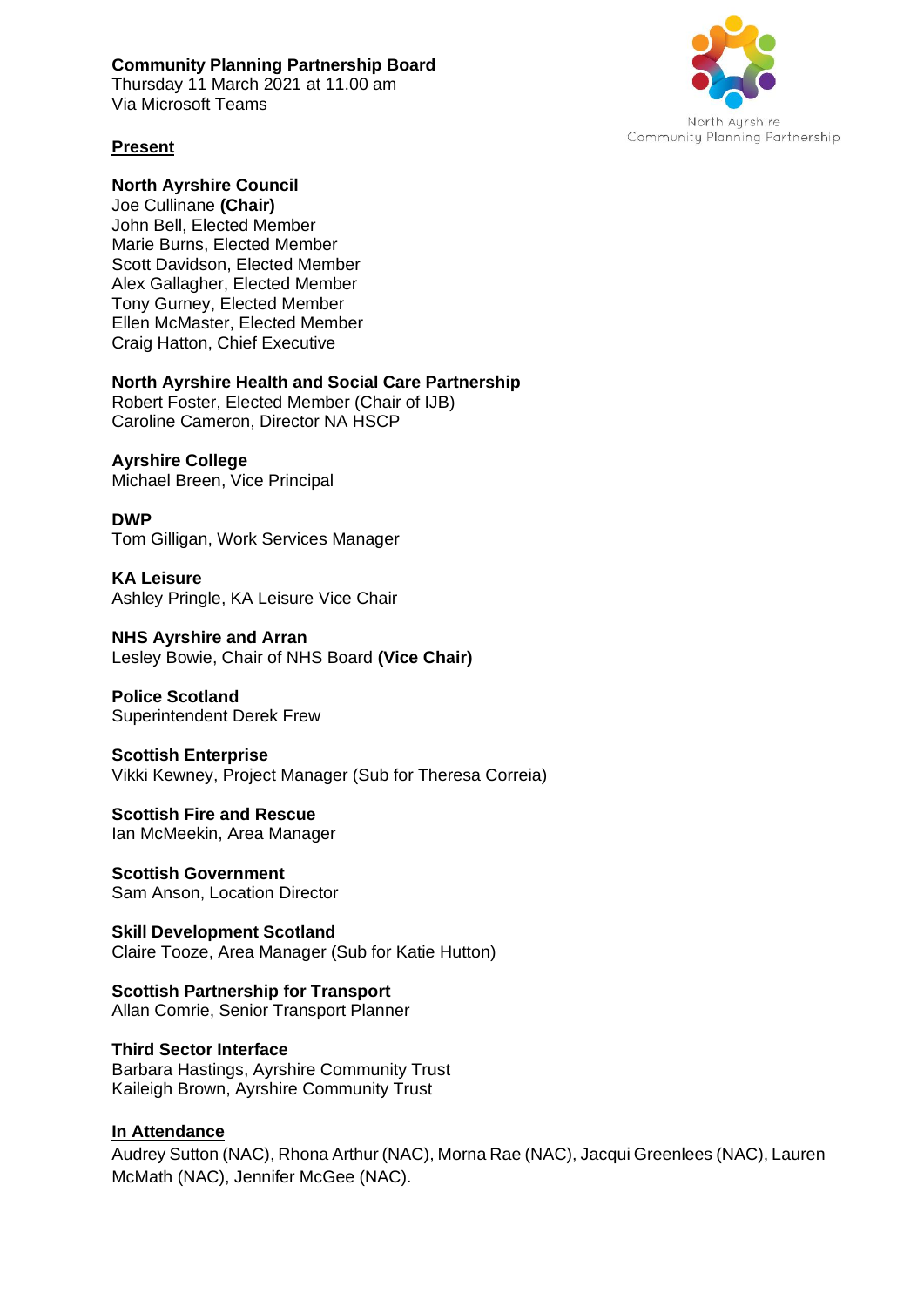#### **Community Planning Partnership Board**

Thursday 11 March 2021 at 11.00 am Via Microsoft Teams



#### **Present**

**North Ayrshire Council**  Joe Cullinane **(Chair)** John Bell, Elected Member Marie Burns, Elected Member Scott Davidson, Elected Member Alex Gallagher, Elected Member Tony Gurney, Elected Member Ellen McMaster, Elected Member Craig Hatton, Chief Executive

#### **North Ayrshire Health and Social Care Partnership**

Robert Foster, Elected Member (Chair of IJB) Caroline Cameron, Director NA HSCP

### **Ayrshire College**

Michael Breen, Vice Principal

### **DWP**

Tom Gilligan, Work Services Manager

**KA Leisure** Ashley Pringle, KA Leisure Vice Chair

**NHS Ayrshire and Arran**  Lesley Bowie, Chair of NHS Board **(Vice Chair)** 

**Police Scotland**  Superintendent Derek Frew

**Scottish Enterprise**  Vikki Kewney, Project Manager (Sub for Theresa Correia)

**Scottish Fire and Rescue**  Ian McMeekin, Area Manager

**Scottish Government**  Sam Anson, Location Director

**Skill Development Scotland**  Claire Tooze, Area Manager (Sub for Katie Hutton)

**Scottish Partnership for Transport**  Allan Comrie, Senior Transport Planner

**Third Sector Interface**  Barbara Hastings, Ayrshire Community Trust Kaileigh Brown, Ayrshire Community Trust

### **In Attendance**

Audrey Sutton (NAC), Rhona Arthur (NAC), Morna Rae (NAC), Jacqui Greenlees (NAC), Lauren McMath (NAC), Jennifer McGee (NAC).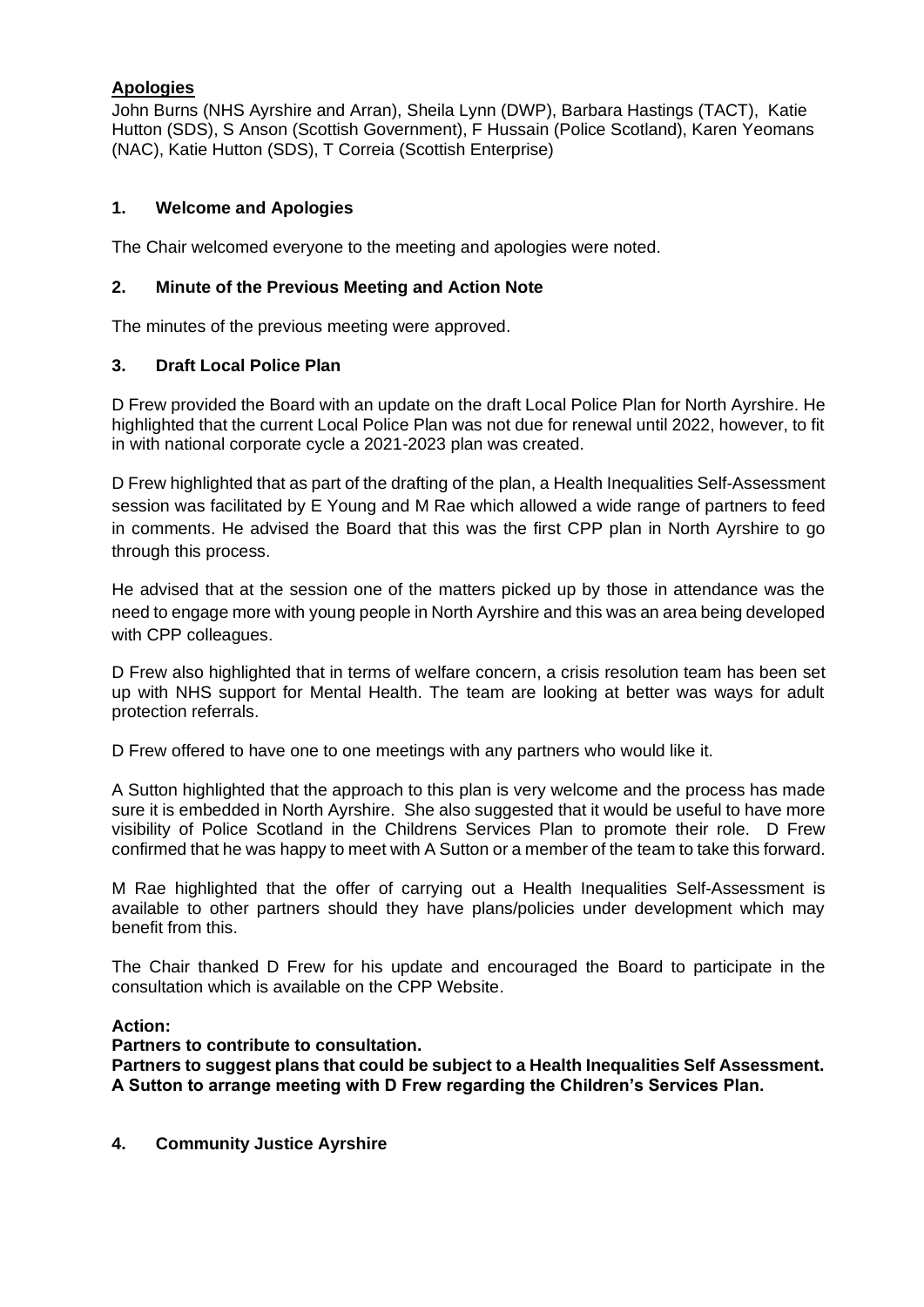#### **Apologies**

John Burns (NHS Ayrshire and Arran), Sheila Lynn (DWP), Barbara Hastings (TACT), Katie Hutton (SDS), S Anson (Scottish Government), F Hussain (Police Scotland), Karen Yeomans (NAC), Katie Hutton (SDS), T Correia (Scottish Enterprise)

#### **1. Welcome and Apologies**

The Chair welcomed everyone to the meeting and apologies were noted.

#### **2. Minute of the Previous Meeting and Action Note**

The minutes of the previous meeting were approved.

#### **3. Draft Local Police Plan**

D Frew provided the Board with an update on the draft Local Police Plan for North Ayrshire. He highlighted that the current Local Police Plan was not due for renewal until 2022, however, to fit in with national corporate cycle a 2021-2023 plan was created.

D Frew highlighted that as part of the drafting of the plan, a Health Inequalities Self-Assessment session was facilitated by E Young and M Rae which allowed a wide range of partners to feed in comments. He advised the Board that this was the first CPP plan in North Ayrshire to go through this process.

He advised that at the session one of the matters picked up by those in attendance was the need to engage more with young people in North Ayrshire and this was an area being developed with CPP colleagues.

D Frew also highlighted that in terms of welfare concern, a crisis resolution team has been set up with NHS support for Mental Health. The team are looking at better was ways for adult protection referrals.

D Frew offered to have one to one meetings with any partners who would like it.

A Sutton highlighted that the approach to this plan is very welcome and the process has made sure it is embedded in North Ayrshire. She also suggested that it would be useful to have more visibility of Police Scotland in the Childrens Services Plan to promote their role. D Frew confirmed that he was happy to meet with A Sutton or a member of the team to take this forward.

M Rae highlighted that the offer of carrying out a Health Inequalities Self-Assessment is available to other partners should they have plans/policies under development which may benefit from this.

The Chair thanked D Frew for his update and encouraged the Board to participate in the consultation which is available on the CPP Website.

#### **Action:**

**Partners to contribute to consultation.** 

**Partners to suggest plans that could be subject to a Health Inequalities Self Assessment. A Sutton to arrange meeting with D Frew regarding the Children's Services Plan.** 

**4. Community Justice Ayrshire**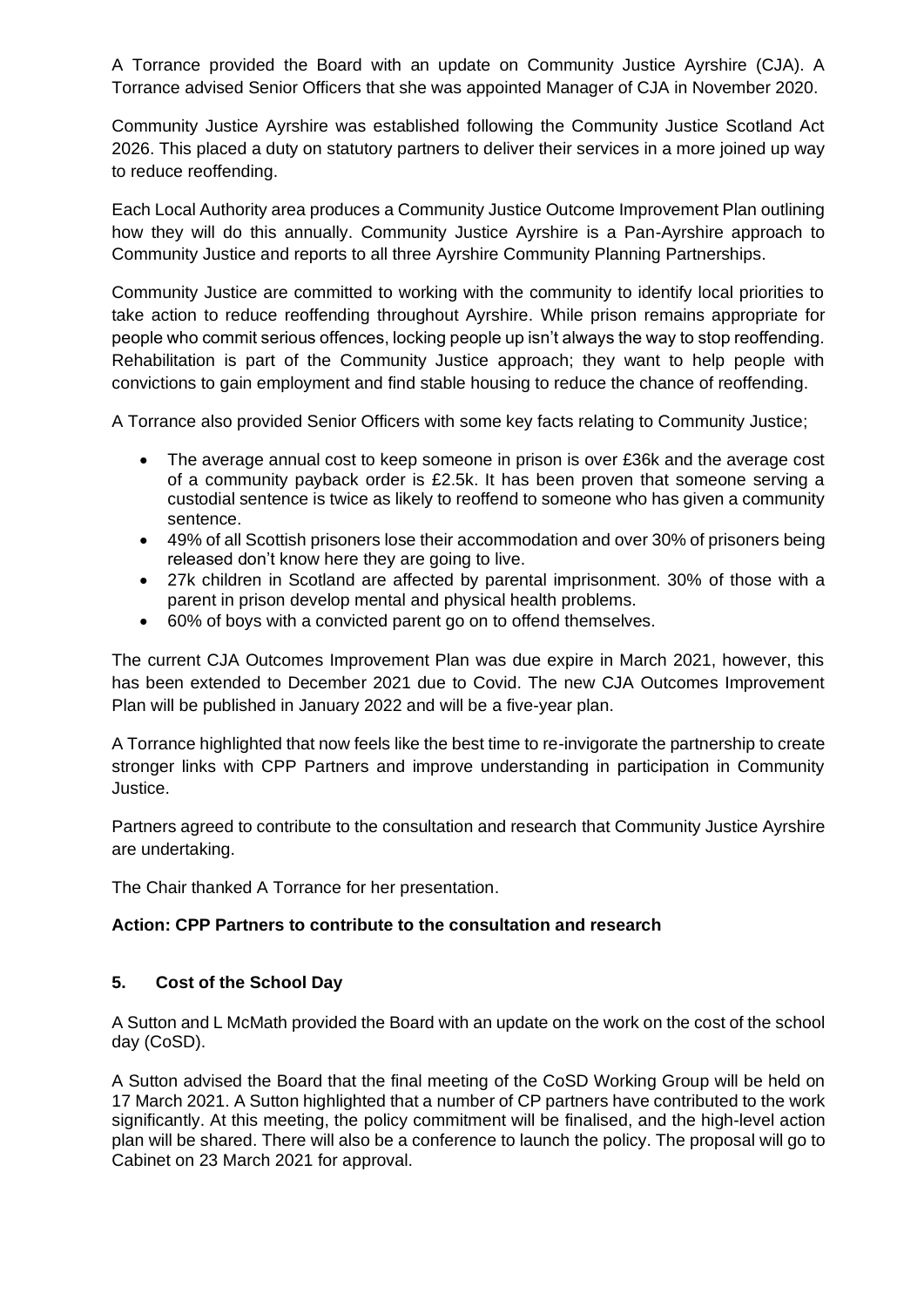A Torrance provided the Board with an update on Community Justice Ayrshire (CJA). A Torrance advised Senior Officers that she was appointed Manager of CJA in November 2020.

Community Justice Ayrshire was established following the Community Justice Scotland Act 2026. This placed a duty on statutory partners to deliver their services in a more joined up way to reduce reoffending.

Each Local Authority area produces a Community Justice Outcome Improvement Plan outlining how they will do this annually. Community Justice Ayrshire is a Pan-Ayrshire approach to Community Justice and reports to all three Ayrshire Community Planning Partnerships.

Community Justice are committed to working with the community to identify local priorities to take action to reduce reoffending throughout Ayrshire. While prison remains appropriate for people who commit serious offences, locking people up isn't always the way to stop reoffending. Rehabilitation is part of the Community Justice approach; they want to help people with convictions to gain employment and find stable housing to reduce the chance of reoffending.

A Torrance also provided Senior Officers with some key facts relating to Community Justice;

- The average annual cost to keep someone in prison is over £36k and the average cost of a community payback order is £2.5k. It has been proven that someone serving a custodial sentence is twice as likely to reoffend to someone who has given a community sentence.
- 49% of all Scottish prisoners lose their accommodation and over 30% of prisoners being released don't know here they are going to live.
- 27k children in Scotland are affected by parental imprisonment. 30% of those with a parent in prison develop mental and physical health problems.
- 60% of boys with a convicted parent go on to offend themselves.

The current CJA Outcomes Improvement Plan was due expire in March 2021, however, this has been extended to December 2021 due to Covid. The new CJA Outcomes Improvement Plan will be published in January 2022 and will be a five-year plan.

A Torrance highlighted that now feels like the best time to re-invigorate the partnership to create stronger links with CPP Partners and improve understanding in participation in Community Justice.

Partners agreed to contribute to the consultation and research that Community Justice Ayrshire are undertaking.

The Chair thanked A Torrance for her presentation.

#### **Action: CPP Partners to contribute to the consultation and research**

#### **5. Cost of the School Day**

A Sutton and L McMath provided the Board with an update on the work on the cost of the school day (CoSD).

A Sutton advised the Board that the final meeting of the CoSD Working Group will be held on 17 March 2021. A Sutton highlighted that a number of CP partners have contributed to the work significantly. At this meeting, the policy commitment will be finalised, and the high-level action plan will be shared. There will also be a conference to launch the policy. The proposal will go to Cabinet on 23 March 2021 for approval.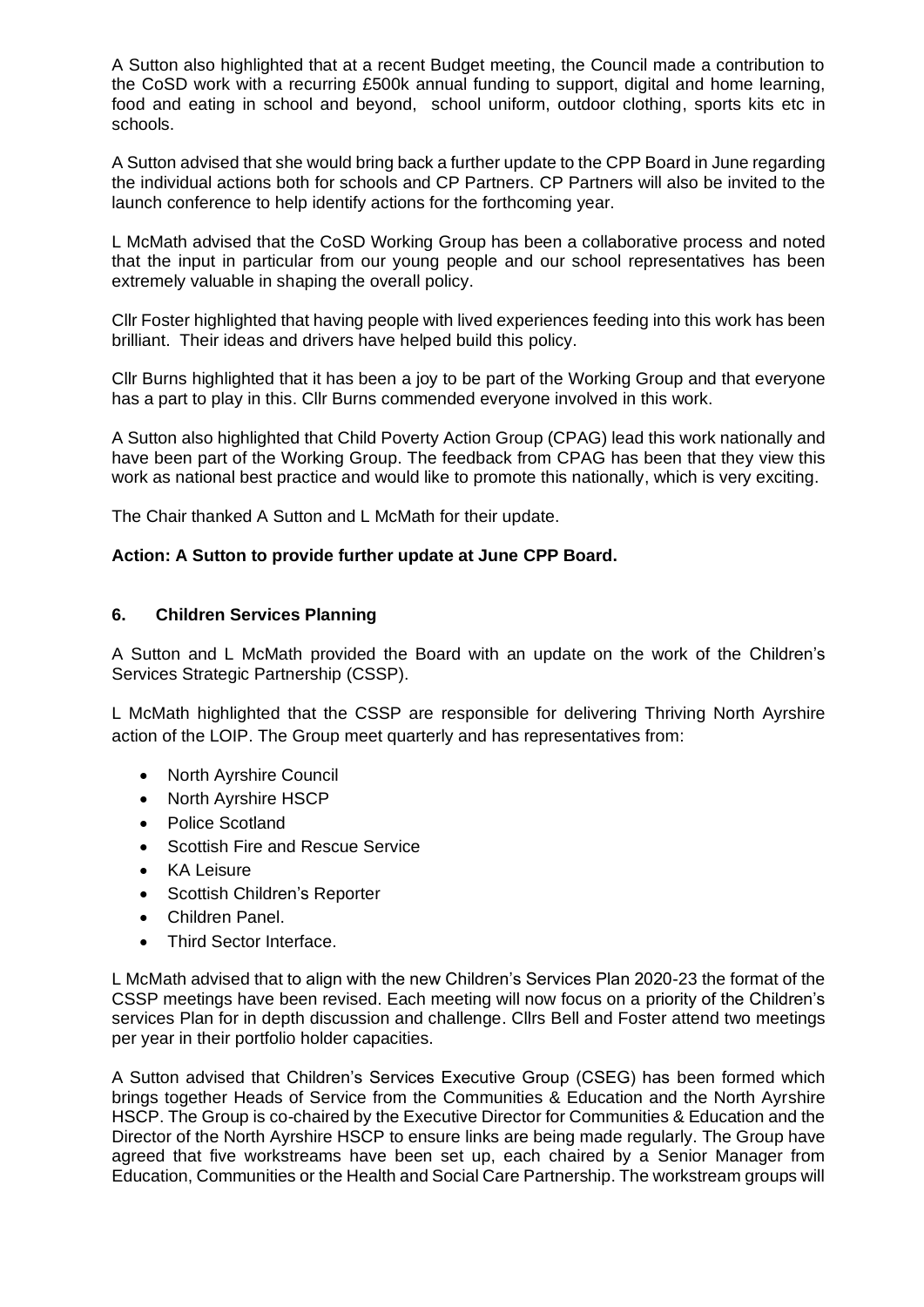A Sutton also highlighted that at a recent Budget meeting, the Council made a contribution to the CoSD work with a recurring £500k annual funding to support, digital and home learning, food and eating in school and beyond, school uniform, outdoor clothing, sports kits etc in schools.

A Sutton advised that she would bring back a further update to the CPP Board in June regarding the individual actions both for schools and CP Partners. CP Partners will also be invited to the launch conference to help identify actions for the forthcoming year.

L McMath advised that the CoSD Working Group has been a collaborative process and noted that the input in particular from our young people and our school representatives has been extremely valuable in shaping the overall policy.

Cllr Foster highlighted that having people with lived experiences feeding into this work has been brilliant. Their ideas and drivers have helped build this policy.

Cllr Burns highlighted that it has been a joy to be part of the Working Group and that everyone has a part to play in this. Cllr Burns commended everyone involved in this work.

A Sutton also highlighted that Child Poverty Action Group (CPAG) lead this work nationally and have been part of the Working Group. The feedback from CPAG has been that they view this work as national best practice and would like to promote this nationally, which is very exciting.

The Chair thanked A Sutton and L McMath for their update.

#### **Action: A Sutton to provide further update at June CPP Board.**

#### **6. Children Services Planning**

A Sutton and L McMath provided the Board with an update on the work of the Children's Services Strategic Partnership (CSSP).

L McMath highlighted that the CSSP are responsible for delivering Thriving North Ayrshire action of the LOIP. The Group meet quarterly and has representatives from:

- North Ayrshire Council
- North Ayrshire HSCP
- Police Scotland
- Scottish Fire and Rescue Service
- KA Leisure
- Scottish Children's Reporter
- Children Panel.
- Third Sector Interface.

L McMath advised that to align with the new Children's Services Plan 2020-23 the format of the CSSP meetings have been revised. Each meeting will now focus on a priority of the Children's services Plan for in depth discussion and challenge. Cllrs Bell and Foster attend two meetings per year in their portfolio holder capacities.

A Sutton advised that Children's Services Executive Group (CSEG) has been formed which brings together Heads of Service from the Communities & Education and the North Ayrshire HSCP. The Group is co-chaired by the Executive Director for Communities & Education and the Director of the North Ayrshire HSCP to ensure links are being made regularly. The Group have agreed that five workstreams have been set up, each chaired by a Senior Manager from Education, Communities or the Health and Social Care Partnership. The workstream groups will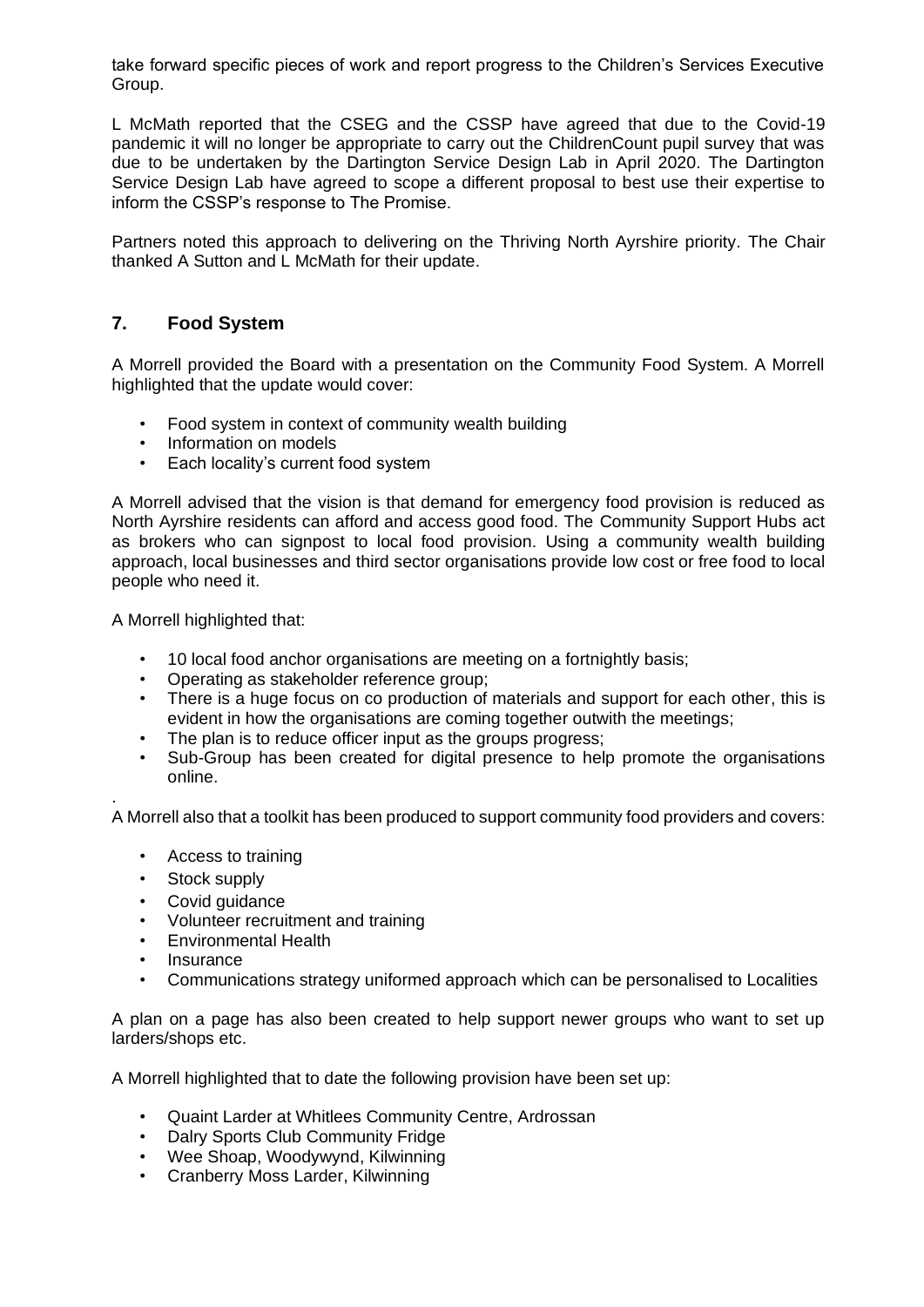take forward specific pieces of work and report progress to the Children's Services Executive Group.

L McMath reported that the CSEG and the CSSP have agreed that due to the Covid-19 pandemic it will no longer be appropriate to carry out the ChildrenCount pupil survey that was due to be undertaken by the Dartington Service Design Lab in April 2020. The Dartington Service Design Lab have agreed to scope a different proposal to best use their expertise to inform the CSSP's response to The Promise.

Partners noted this approach to delivering on the Thriving North Ayrshire priority. The Chair thanked A Sutton and L McMath for their update.

### **7. Food System**

A Morrell provided the Board with a presentation on the Community Food System. A Morrell highlighted that the update would cover:

- Food system in context of community wealth building
- Information on models
- Each locality's current food system

A Morrell advised that the vision is that demand for emergency food provision is reduced as North Ayrshire residents can afford and access good food. The Community Support Hubs act as brokers who can signpost to local food provision. Using a community wealth building approach, local businesses and third sector organisations provide low cost or free food to local people who need it.

A Morrell highlighted that:

- 10 local food anchor organisations are meeting on a fortnightly basis;
- Operating as stakeholder reference group;
- There is a huge focus on co production of materials and support for each other, this is evident in how the organisations are coming together outwith the meetings;
- The plan is to reduce officer input as the groups progress;
- Sub-Group has been created for digital presence to help promote the organisations online.

A Morrell also that a toolkit has been produced to support community food providers and covers:

- Access to training
- Stock supply

.

- Covid guidance
- Volunteer recruitment and training
- Environmental Health
- **Insurance**
- Communications strategy uniformed approach which can be personalised to Localities

A plan on a page has also been created to help support newer groups who want to set up larders/shops etc.

A Morrell highlighted that to date the following provision have been set up:

- Quaint Larder at Whitlees Community Centre, Ardrossan
- Dalry Sports Club Community Fridge
- Wee Shoap, Woodywynd, Kilwinning
- Cranberry Moss Larder, Kilwinning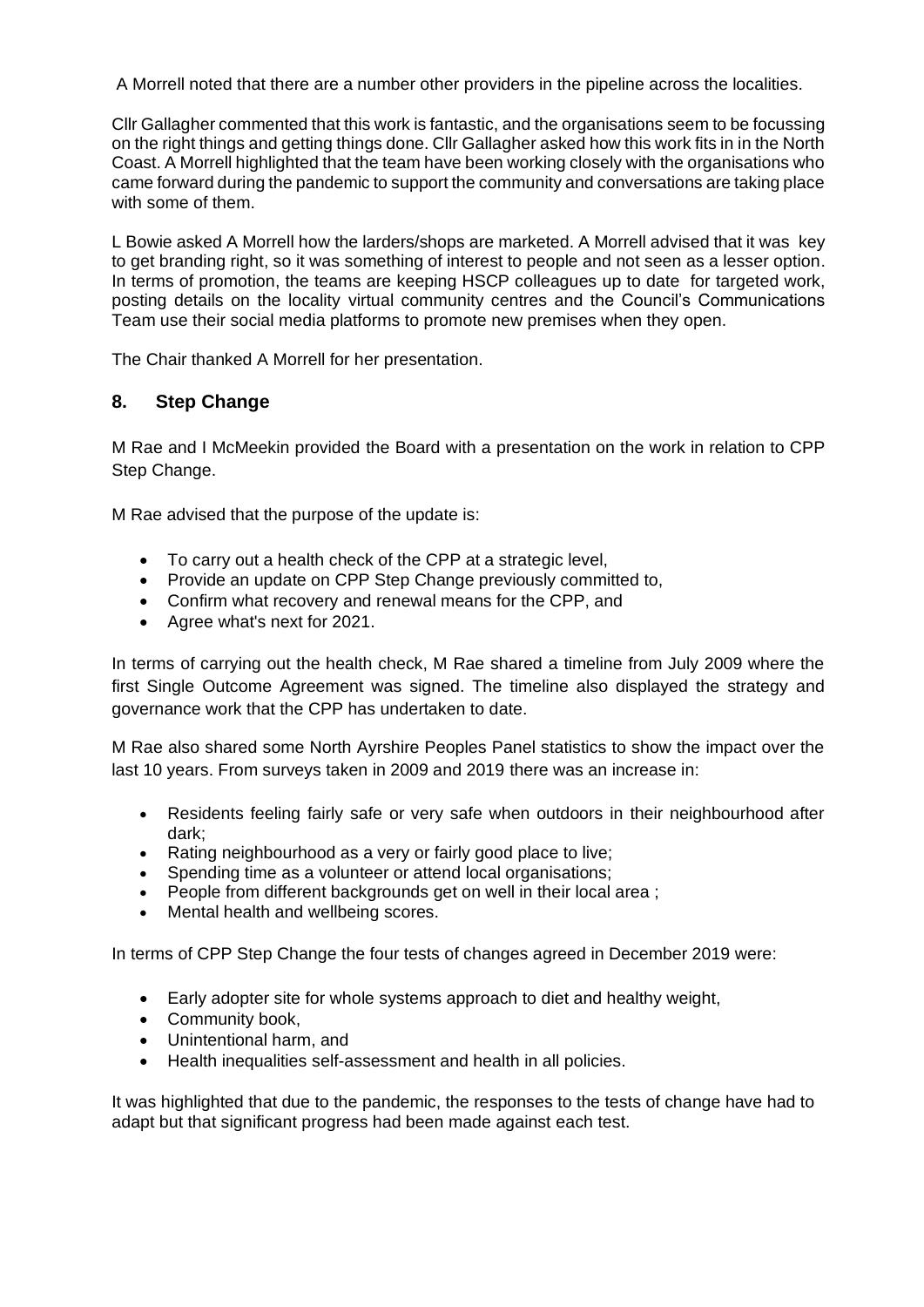A Morrell noted that there are a number other providers in the pipeline across the localities.

Cllr Gallagher commented that this work is fantastic, and the organisations seem to be focussing on the right things and getting things done. Cllr Gallagher asked how this work fits in in the North Coast. A Morrell highlighted that the team have been working closely with the organisations who came forward during the pandemic to support the community and conversations are taking place with some of them.

L Bowie asked A Morrell how the larders/shops are marketed. A Morrell advised that it was key to get branding right, so it was something of interest to people and not seen as a lesser option. In terms of promotion, the teams are keeping HSCP colleagues up to date for targeted work, posting details on the locality virtual community centres and the Council's Communications Team use their social media platforms to promote new premises when they open.

The Chair thanked A Morrell for her presentation.

### **8. Step Change**

M Rae and I McMeekin provided the Board with a presentation on the work in relation to CPP Step Change.

M Rae advised that the purpose of the update is:

- To carry out a health check of the CPP at a strategic level,
- Provide an update on CPP Step Change previously committed to,
- Confirm what recovery and renewal means for the CPP, and
- Agree what's next for 2021.

In terms of carrying out the health check, M Rae shared a timeline from July 2009 where the first Single Outcome Agreement was signed. The timeline also displayed the strategy and governance work that the CPP has undertaken to date.

M Rae also shared some North Ayrshire Peoples Panel statistics to show the impact over the last 10 years. From surveys taken in 2009 and 2019 there was an increase in:

- Residents feeling fairly safe or very safe when outdoors in their neighbourhood after dark;
- Rating neighbourhood as a very or fairly good place to live;
- Spending time as a volunteer or attend local organisations;
- People from different backgrounds get on well in their local area ;
- Mental health and wellbeing scores.

In terms of CPP Step Change the four tests of changes agreed in December 2019 were:

- Early adopter site for whole systems approach to diet and healthy weight,
- Community book,
- Unintentional harm, and
- Health inequalities self-assessment and health in all policies.

It was highlighted that due to the pandemic, the responses to the tests of change have had to adapt but that significant progress had been made against each test.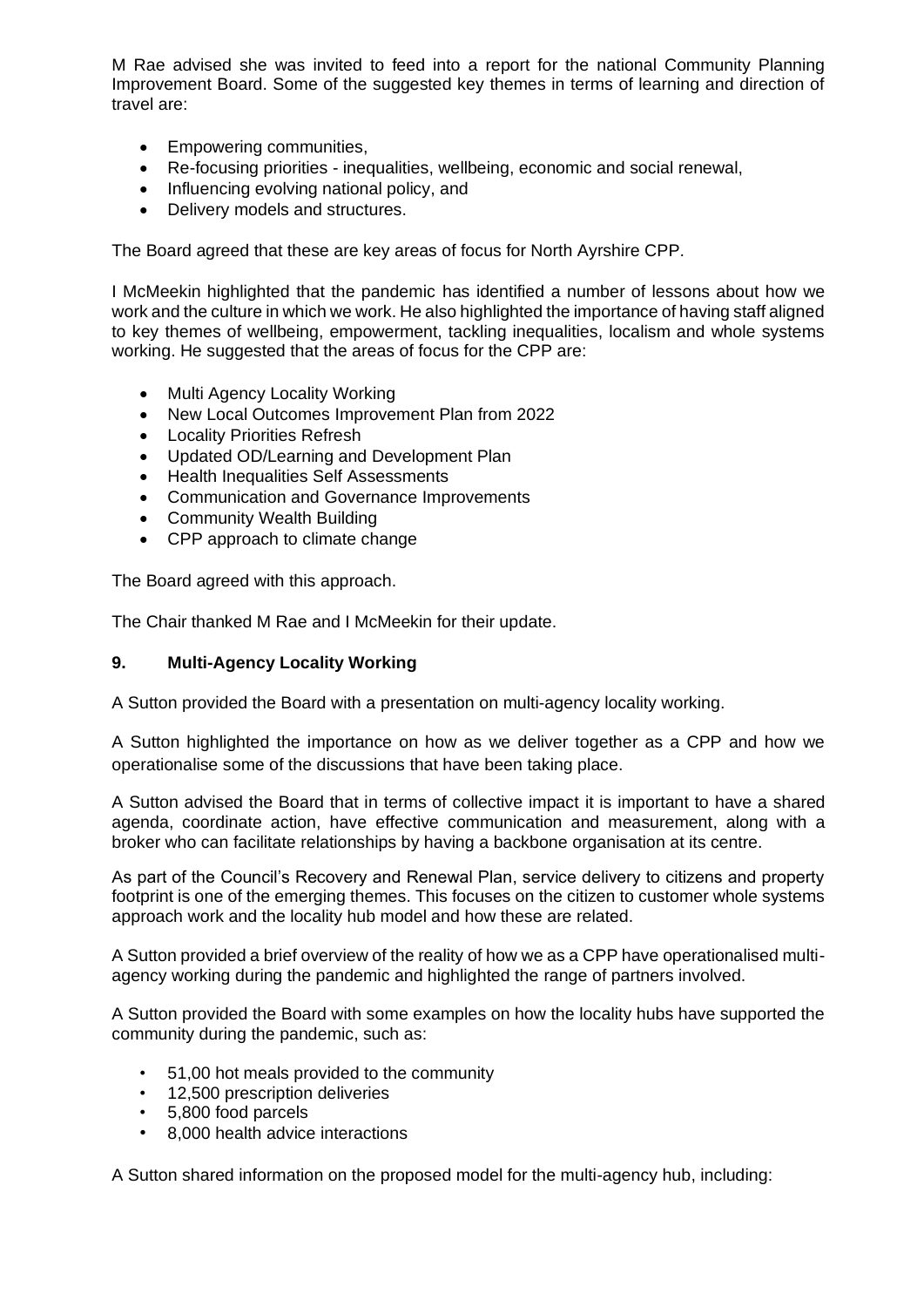M Rae advised she was invited to feed into a report for the national Community Planning Improvement Board. Some of the suggested key themes in terms of learning and direction of travel are:

- Empowering communities,
- Re-focusing priorities inequalities, wellbeing, economic and social renewal,
- Influencing evolving national policy, and
- Delivery models and structures.

The Board agreed that these are key areas of focus for North Ayrshire CPP.

I McMeekin highlighted that the pandemic has identified a number of lessons about how we work and the culture in which we work. He also highlighted the importance of having staff aligned to key themes of wellbeing, empowerment, tackling inequalities, localism and whole systems working. He suggested that the areas of focus for the CPP are:

- Multi Agency Locality Working
- New Local Outcomes Improvement Plan from 2022
- Locality Priorities Refresh
- Updated OD/Learning and Development Plan
- Health Inequalities Self Assessments
- Communication and Governance Improvements
- Community Wealth Building
- CPP approach to climate change

The Board agreed with this approach.

The Chair thanked M Rae and I McMeekin for their update.

#### **9. Multi-Agency Locality Working**

A Sutton provided the Board with a presentation on multi-agency locality working.

A Sutton highlighted the importance on how as we deliver together as a CPP and how we operationalise some of the discussions that have been taking place.

A Sutton advised the Board that in terms of collective impact it is important to have a shared agenda, coordinate action, have effective communication and measurement, along with a broker who can facilitate relationships by having a backbone organisation at its centre.

As part of the Council's Recovery and Renewal Plan, service delivery to citizens and property footprint is one of the emerging themes. This focuses on the citizen to customer whole systems approach work and the locality hub model and how these are related.

A Sutton provided a brief overview of the reality of how we as a CPP have operationalised multiagency working during the pandemic and highlighted the range of partners involved.

A Sutton provided the Board with some examples on how the locality hubs have supported the community during the pandemic, such as:

- 51,00 hot meals provided to the community
- 12,500 prescription deliveries
- 5,800 food parcels
- 8,000 health advice interactions

A Sutton shared information on the proposed model for the multi-agency hub, including: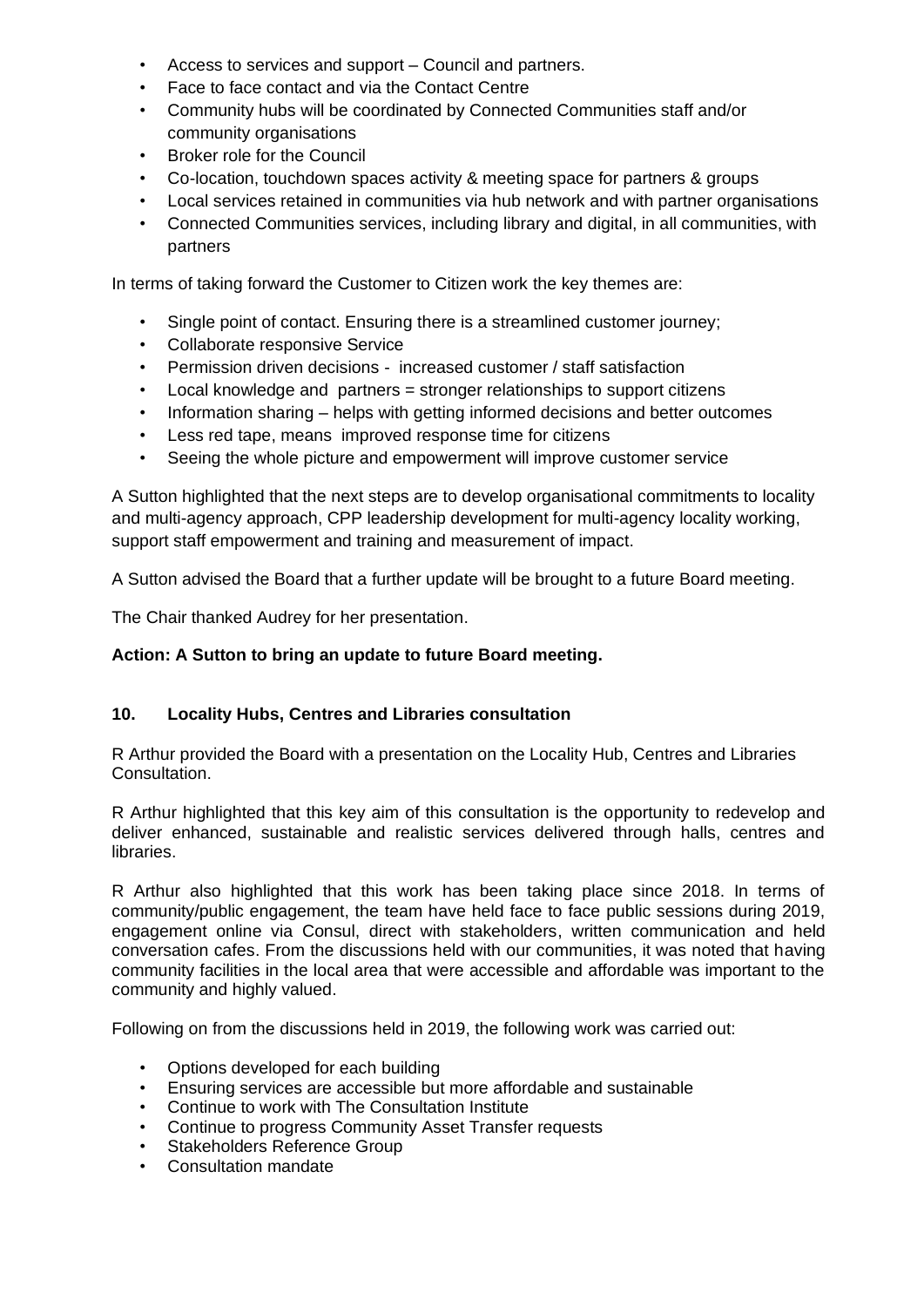- Access to services and support Council and partners.
- Face to face contact and via the Contact Centre
- Community hubs will be coordinated by Connected Communities staff and/or community organisations
- Broker role for the Council
- Co-location, touchdown spaces activity & meeting space for partners & groups
- Local services retained in communities via hub network and with partner organisations
- Connected Communities services, including library and digital, in all communities, with partners

In terms of taking forward the Customer to Citizen work the key themes are:

- Single point of contact. Ensuring there is a streamlined customer journey;
- Collaborate responsive Service
- Permission driven decisions increased customer / staff satisfaction
- Local knowledge and partners = stronger relationships to support citizens
- Information sharing helps with getting informed decisions and better outcomes
- Less red tape, means improved response time for citizens
- Seeing the whole picture and empowerment will improve customer service

A Sutton highlighted that the next steps are to develop organisational commitments to locality and multi-agency approach, CPP leadership development for multi-agency locality working, support staff empowerment and training and measurement of impact.

A Sutton advised the Board that a further update will be brought to a future Board meeting.

The Chair thanked Audrey for her presentation.

#### **Action: A Sutton to bring an update to future Board meeting.**

#### **10. Locality Hubs, Centres and Libraries consultation**

R Arthur provided the Board with a presentation on the Locality Hub, Centres and Libraries Consultation.

R Arthur highlighted that this key aim of this consultation is the opportunity to redevelop and deliver enhanced, sustainable and realistic services delivered through halls, centres and libraries.

R Arthur also highlighted that this work has been taking place since 2018. In terms of community/public engagement, the team have held face to face public sessions during 2019, engagement online via Consul, direct with stakeholders, written communication and held conversation cafes. From the discussions held with our communities, it was noted that having community facilities in the local area that were accessible and affordable was important to the community and highly valued.

Following on from the discussions held in 2019, the following work was carried out:

- Options developed for each building
- Ensuring services are accessible but more affordable and sustainable
- Continue to work with The Consultation Institute
- Continue to progress Community Asset Transfer requests
- Stakeholders Reference Group
- Consultation mandate